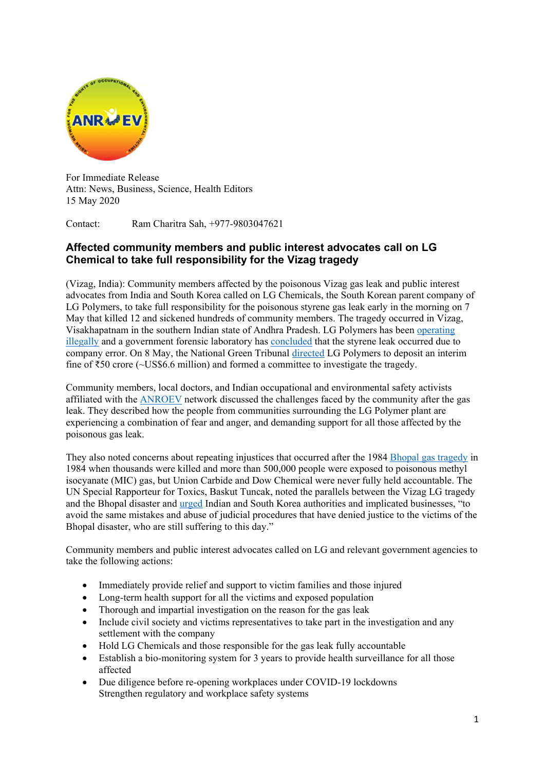

For Immediate Release Attn: News, Business, Science, Health Editors 15 May 2020

Contact: Ram Charitra Sah, +977-9803047621

## **Affected community members and public interest advocates call on LG Chemical to take full responsibility for the Vizag tragedy**

(Vizag, India): Community members affected by the poisonous Vizag gas leak and public interest advocates from India and South Korea called on LG Chemicals, the South Korean parent company of LG Polymers, to take full responsibility for the poisonous styrene gas leak early in the morning on 7 May that killed 12 and sickened hundreds of community members. The tragedy occurred in Vizag, Visakhapatnam in the southern Indian state of Andhra Pradesh. LG Polymers has been operating illegally and a government forensic laboratory has concluded that the styrene leak occurred due to company error. On 8 May, the National Green Tribunal directed LG Polymers to deposit an interim fine of  $\text{\textless}50$  crore (~US\$6.6 million) and formed a committee to investigate the tragedy.

Community members, local doctors, and Indian occupational and environmental safety activists affiliated with the ANROEV network discussed the challenges faced by the community after the gas leak. They described how the people from communities surrounding the LG Polymer plant are experiencing a combination of fear and anger, and demanding support for all those affected by the poisonous gas leak.

They also noted concerns about repeating injustices that occurred after the 1984 Bhopal gas tragedy in 1984 when thousands were killed and more than 500,000 people were exposed to poisonous methyl isocyanate (MIC) gas, but Union Carbide and Dow Chemical were never fully held accountable. The UN Special Rapporteur for Toxics, Baskut Tuncak, noted the parallels between the Vizag LG tragedy and the Bhopal disaster and urged Indian and South Korea authorities and implicated businesses, "to avoid the same mistakes and abuse of judicial procedures that have denied justice to the victims of the Bhopal disaster, who are still suffering to this day."

Community members and public interest advocates called on LG and relevant government agencies to take the following actions:

- Immediately provide relief and support to victim families and those injured
- Long-term health support for all the victims and exposed population
- Thorough and impartial investigation on the reason for the gas leak
- Include civil society and victims representatives to take part in the investigation and any settlement with the company
- Hold LG Chemicals and those responsible for the gas leak fully accountable
- Establish a bio-monitoring system for 3 years to provide health surveillance for all those affected
- Due diligence before re-opening workplaces under COVID-19 lockdowns Strengthen regulatory and workplace safety systems